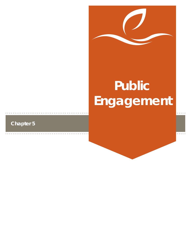

# **Public Engagement**

# **Chapter 5**

 $\alpha$  ,  $\alpha$  ,  $\alpha$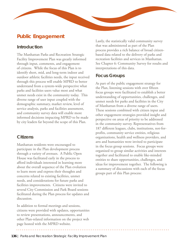# **Public Engagement**

# **Introduction**

The Manhattan Parks and Recreation Strategic Facility Improvement Plan was greatly informed through input, comments, and engagement of citizens. While the focus of this Plan is to identify short, mid, and long-term indoor and outdoor athletic facilities needs, the input received through this process will enable MPRD to better understand from a system-wide perspective what parks and facilities users value most and what unmet needs exist in the community today. This diverse range of user input coupled with the demographic summary, market review, level of service analysis, parks and facilities assessment, and community survey data will enable more informed decisions impacting MPRD to be made by city leaders far beyond the scope of this Plan.

# **Citizens**

Manhattan residents were encouraged to participate in the Plan development process through a variety of avenues. A Public Open House was facilitated early in the process to afford individuals interested in learning more about the overall sequence of the Plan evolution to learn more and express their thoughts and concerns related to existing facilities, unmet needs, and considerations for future parks and facilities improvements. Citizens were invited to several City Commission and Park Board sessions facilitated during the Plan process for updates and discussion.

In addition to formal meetings and sessions, citizens were provided with updates, opportunities to review presentations, announcements, and other Plan-related information on the project web page hosted with the MPRD website.

Lastly, the statistically valid community survey that was administered as part of the Plan process provides a rich balance of broad citizenbased data related to the delivery of parks and recreation facilities and services in Manhattan. See Chapter 6: Community Survey for results and interpretations of this data.

# **Focus Groups**

As part of the public engagement strategy for the Plan, listening sessions with over fifteen focus groups were facilitated to establish a better understanding of opportunities, challenges, and unmet needs for parks and facilities in the City of Manhattan from a diverse range of users. These sessions combined with citizen input and other engagement strategies provided insight and perspective on areas of priority to be addressed in the community survey. Representatives from 187 different leagues, clubs, institutions, not-forprofits, community service entities, religious organizations, health and wellness providers, and arts and humanities were invited to participate in the focus group sessions. Focus groups were organized to group similar activities and interests together and facilitated to enable like-minded entities to share opportunities, challenges, and ideas for improvement together. The following is a summary of discussions with each of the focus groups part of this Plan process: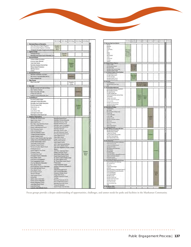

|                                                                          |                                                                        | 1:30-12:45pm 1:00-1:45pm 2:00-2:45pm |                                | 3:00-3:45pm           | 6:00-6:30pm |
|--------------------------------------------------------------------------|------------------------------------------------------------------------|--------------------------------------|--------------------------------|-----------------------|-------------|
|                                                                          |                                                                        |                                      |                                |                       |             |
| 1 Manhattan Parks and Recreation                                         |                                                                        |                                      |                                |                       |             |
| Active Recrustion & Sports Programs                                      | <b>Douglies-</b><br>Tibrisis                                           |                                      |                                |                       |             |
| Arts & Humanities Programs & Activities                                  | Room                                                                   |                                      |                                |                       |             |
| Therapeutic Recreation Programs and Activities<br>2 Sports Tourism       |                                                                        |                                      |                                |                       |             |
| Fieldhouse Project                                                       |                                                                        | Douglass-                            |                                |                       |             |
| Manhattan Ania Sports Council (Manhattan CVB)                            |                                                                        | Tubrian                              |                                |                       |             |
| 3 Baseball/Softball                                                      |                                                                        |                                      |                                |                       |             |
| Amateur Softball Association                                             |                                                                        |                                      |                                |                       |             |
| American Legion Baseball                                                 |                                                                        |                                      |                                |                       |             |
| Grand Slam Sports                                                        |                                                                        |                                      | <b>Dugles</b>                  |                       |             |
| Mametten Breakfast Optimist Club<br>Midwest Sports Productions           |                                                                        |                                      | <b>Library</b><br><b>FLAME</b> |                       |             |
| NBC/Hap Diamont                                                          |                                                                        |                                      |                                |                       |             |
| USSSA                                                                    |                                                                        |                                      |                                |                       |             |
| 4 Besketball/Volleyball                                                  |                                                                        |                                      |                                |                       |             |
| Mannartan Basketball Association                                         |                                                                        |                                      |                                |                       |             |
| Mid America Youth Basketball (MAYE)                                      |                                                                        |                                      | <b>Ling Room</b>               |                       |             |
| Konza Volleyball Club                                                    |                                                                        |                                      |                                |                       |             |
| 4 Riley County                                                           |                                                                        |                                      |                                |                       |             |
| <b>Riley Cramty Staff</b>                                                |                                                                        |                                      | Douglass-                      |                       |             |
|                                                                          |                                                                        |                                      | Eibrary                        |                       |             |
| 6 Disc Golf                                                              |                                                                        |                                      |                                |                       |             |
| Big Red One Disc Golf Club (Fort Riley).<br>Disc Fanatics of Kansa       |                                                                        |                                      |                                |                       |             |
| Goose Grass Disc Goll Club                                               |                                                                        |                                      |                                | <b>Ivnn Room</b>      |             |
| K-State Dire Goll Club                                                   |                                                                        |                                      |                                |                       |             |
| Lumeran Campus Ministry Disc Golf                                        |                                                                        |                                      |                                |                       |             |
| 7 Football/Soccer                                                        |                                                                        |                                      |                                |                       |             |
| Elist Hills Football League                                              |                                                                        |                                      |                                |                       |             |
| Little Apple Football Association                                        |                                                                        |                                      |                                |                       |             |
| Manitaltan Area Football Association                                     |                                                                        |                                      |                                |                       |             |
| First Hills Soccer Club                                                  |                                                                        |                                      |                                | Douglass              |             |
| Global Sports, Inc.                                                      |                                                                        |                                      |                                | Tuaman<br><b>Room</b> |             |
| <b>Jim Nechols</b>                                                       |                                                                        |                                      |                                |                       |             |
| Lotno Soccer Club<br>Little Apple Soccer Club-                           |                                                                        |                                      |                                |                       |             |
| Real Kansas United Soccer Club                                           |                                                                        |                                      |                                |                       |             |
| 8 Religious Organizations                                                |                                                                        |                                      |                                |                       |             |
| Abundant Life Church of God                                              | Manhaltan Baptist Cherch                                               |                                      |                                |                       |             |
| Agapa Family Cliurch                                                     | Manhattan Constian Fellowship                                          |                                      |                                |                       |             |
| Beltiel AME Church                                                       | Manhattan Church of Circist                                            |                                      |                                |                       |             |
| Blue Valley United Methodist Church                                      | Menhattan Friends Church<br>Manhattan Jewish Congnigation              |                                      |                                |                       |             |
| Colvary Chapel Manhattan<br>Calvary United Methodist Church              | Manhattan Mennontle Church                                             |                                      |                                |                       |             |
| Christ Fellowship Church                                                 | Manhattan Wesleyan                                                     |                                      |                                |                       |             |
| Christ Lutheran Church                                                   | Maant Zian Church of God                                               |                                      |                                |                       |             |
| Christ the Redeemer Church                                               |                                                                        | New Life Pentecostal Church          |                                |                       |             |
| Christian Disciples Fellowship                                           | Ogden Baphst Church                                                    | New Hope Community Church            |                                |                       |             |
| Christian Science Church                                                 | Ogden Bible Church                                                     |                                      |                                |                       |             |
| Church of Jesus Christ of Latter-Day Sainty.                             | Quage Christian Church                                                 |                                      |                                |                       |             |
| College Avenue United Methodist Church<br>College Heights Baptist Church | Peace Lutheran Church                                                  |                                      |                                |                       |             |
| Commonly of Christ Church                                                | Plignin Baptist Church                                                 |                                      |                                |                       |             |
| Crestview Christian Church                                               |                                                                        | Saint Francis Episcopal Ministry     |                                |                       |             |
| Emmanuel Southern Baptist Church                                         | Saint Luke's Lutheran Orunch<br>Sant Mary Magdalene Orthodox Chinelian |                                      |                                |                       |             |
| Faith Bagest Church                                                      | Mission                                                                |                                      |                                |                       |             |
| Earth Evangelical Free Church-                                           | Saint Paul's Episcopal Charch                                          |                                      |                                |                       | Douglass-   |
| Fellowship Temple                                                        | Sedalia Community Church                                               |                                      |                                |                       | Tubman      |
| First Assembly of God                                                    | Seven Doines Catholic Church                                           |                                      |                                |                       | Room        |
| First Baptist Church of Manhattan                                        | Sevenin Day Adventist Church                                           |                                      |                                |                       |             |
| First Christian Church<br>First Church of the Nazarene                   | St. Isidore's Catholic Student Center<br>St Lukes Lutheran Church      |                                      |                                |                       |             |
| First Congregational Charch                                              | St. Thomas More Catholic Church                                        |                                      |                                |                       |             |
| First Free Methodist of Manhattan                                        | <b>Trinity Canton</b>                                                  |                                      |                                |                       |             |
| First Lutheran Church                                                    | Trinly Presbylerian Church                                             |                                      |                                |                       |             |
| First Prosbytesian Church of Marchatter.                                 | Unitation-Universelast Fellowship of                                   |                                      |                                |                       |             |
| First United Methodist Church                                            | Manhaitan<br>United Penkicasial Church                                 |                                      |                                |                       |             |
| Graci Baplini Churchi<br>Harvest Baglist Church                          | Ullity Church of Manhattan                                             |                                      |                                |                       |             |
| Harvest Fellowship                                                       | University Christian Church                                            |                                      |                                |                       |             |
| Hope Lutheran Church                                                     |                                                                        |                                      |                                |                       |             |
|                                                                          | Vinlage Falth Church                                                   |                                      |                                |                       |             |
| <b>Idilfas MHK</b>                                                       |                                                                        | Vineyard Community Church            |                                |                       |             |
| Istamic Center of Menhattan                                              | The Woll                                                               |                                      |                                |                       |             |
| Korean Church of Manhattan                                               | Westview Community Church<br>Word of Failh Family Church               |                                      |                                |                       |             |
| Korean Presbytenen Courcil                                               |                                                                        | Zeandele Continuity Church           |                                |                       |             |
| Living Water Ranch Church<br>Living Word Church                          | Voung Life Manhettan<br>Central Kansas Youth for Christ                |                                      |                                |                       |             |

|                                                                                 | 7:03-7.45ith.               |                               | 8.15-83km 9.15.1810am 0.00-10 45im 1.00-11-15am 2.00-12-15pm 12-45-1.30pm |                      |                   |                     |  |
|---------------------------------------------------------------------------------|-----------------------------|-------------------------------|---------------------------------------------------------------------------|----------------------|-------------------|---------------------|--|
| 9 Manhattan High School Athletics                                               |                             |                               |                                                                           |                      |                   |                     |  |
| Baveball                                                                        |                             |                               |                                                                           |                      |                   |                     |  |
| Baketal                                                                         |                             |                               |                                                                           |                      |                   |                     |  |
| Bowling                                                                         |                             |                               |                                                                           |                      |                   |                     |  |
| Cross Country<br>Golf                                                           | <b>MHS M</b>                |                               |                                                                           |                      |                   |                     |  |
| Scoper                                                                          | <b>Manning The</b><br>Marit |                               |                                                                           |                      |                   |                     |  |
| Stihal                                                                          | High School                 |                               |                                                                           |                      |                   |                     |  |
| Swim and Dive                                                                   | Mari @ 646                  |                               |                                                                           |                      |                   |                     |  |
| Toyota                                                                          | <b>Richard</b> car          |                               |                                                                           |                      |                   |                     |  |
| Track & Furch                                                                   |                             |                               |                                                                           |                      |                   |                     |  |
| Wonting                                                                         |                             |                               |                                                                           |                      |                   |                     |  |
| KSHSAA                                                                          |                             |                               |                                                                           |                      |                   |                     |  |
| 18 Collegiate Athletica Programs                                                |                             |                               |                                                                           |                      |                   |                     |  |
| K-State CrossFit                                                                |                             | <b>TARGET</b>                 |                                                                           |                      |                   |                     |  |
| <b>KSU Recreator Services</b>                                                   |                             | <b>ALL FINDER</b>             |                                                                           |                      |                   |                     |  |
| KSU Sports Civilia                                                              |                             | <b>DA-Times</b>               |                                                                           |                      |                   |                     |  |
| Manfolder Area Toulescal College                                                |                             | <b>Lard To</b>                |                                                                           |                      |                   |                     |  |
| Marheltán Chitalain College                                                     |                             |                               |                                                                           |                      |                   |                     |  |
| 11 K-12 Athletics Programs (Shared Facilities)                                  |                             |                               |                                                                           |                      |                   |                     |  |
| Chief (Homesthool Group)                                                        |                             |                               |                                                                           |                      |                   |                     |  |
| Flint Hills O'Higher School.                                                    |                             |                               |                                                                           |                      |                   |                     |  |
| Finit Hills Job Copy                                                            |                             | <b>HIGLIS</b><br><b>THEFT</b> |                                                                           |                      |                   |                     |  |
| Mannaton Calholic Sciecces<br>USD 383 Assaura/Activities                        |                             |                               |                                                                           |                      |                   |                     |  |
|                                                                                 |                             |                               |                                                                           |                      |                   |                     |  |
| 12 Swimming<br>K-State Natatorum                                                |                             |                               | <b>BUT</b>                                                                |                      |                   |                     |  |
| Minhatta: Marina Swin Team                                                      |                             |                               | <b>Anti Limma</b>                                                         | <b>BACH</b>          |                   |                     |  |
| <b>UFM</b>                                                                      |                             |                               |                                                                           | <b>Car</b><br>a      |                   |                     |  |
| 13 Trail Users (Bicycling/Kunning)                                              |                             |                               |                                                                           |                      |                   |                     |  |
| Bad Goat Racing (mountain & cyclocross)                                         |                             |                               |                                                                           |                      |                   |                     |  |
| By Poppi Bloycle Corpuny                                                        |                             |                               |                                                                           |                      |                   |                     |  |
| Dirty Apple Blee Polo                                                           |                             |                               |                                                                           |                      |                   |                     |  |
| First Hills Area Blue Club                                                      |                             |                               |                                                                           |                      |                   |                     |  |
| Outdoor Club (Bityphit), cantaining, miling)                                    |                             |                               | $= M$                                                                     |                      |                   |                     |  |
| The Particular                                                                  |                             |                               | <b>Drames</b>                                                             | <b>Doug</b>          |                   |                     |  |
| Trepress Cycleg Farm                                                            |                             |                               | m.                                                                        | <b>Lightney</b><br>٨ |                   |                     |  |
| Florelia renses Runing Club                                                     |                             |                               |                                                                           |                      |                   |                     |  |
| <b>Grecoving Ran</b>                                                            |                             |                               |                                                                           |                      |                   |                     |  |
| Menhetten Cross Gounty Club,                                                    |                             |                               |                                                                           |                      |                   |                     |  |
| Mannettay Russey Consany                                                        |                             |                               |                                                                           |                      |                   |                     |  |
| Manhaltan Track Club                                                            |                             |                               |                                                                           |                      |                   |                     |  |
| 14 Private Service Providers                                                    |                             |                               |                                                                           |                      |                   |                     |  |
| <b>Adolf Booldings</b>                                                          |                             |                               |                                                                           |                      |                   |                     |  |
| <b>Barr Fitteres</b>                                                            |                             |                               |                                                                           |                      |                   |                     |  |
| Body First Timms & Fitness Comer                                                |                             |                               |                                                                           |                      |                   |                     |  |
| Cross Fit 785                                                                   |                             |                               |                                                                           |                      |                   |                     |  |
| Cross Fill Marin                                                                |                             |                               |                                                                           |                      |                   |                     |  |
| Cross Fil Mest                                                                  |                             |                               |                                                                           |                      |                   |                     |  |
| Get Main DrossFill                                                              |                             |                               |                                                                           |                      | Tuesday           |                     |  |
| Manhatter Gymnastics Academy                                                    |                             |                               |                                                                           |                      | <b>PEARS</b>      |                     |  |
| <b>Max Fitness</b>                                                              |                             |                               |                                                                           |                      |                   |                     |  |
| Maxman Performance                                                              |                             |                               |                                                                           |                      |                   |                     |  |
| <b>Pho Finest</b><br>Wildcall Golf and Freeess                                  |                             |                               |                                                                           |                      |                   |                     |  |
| Widwood Zipline Pain                                                            |                             |                               |                                                                           |                      |                   |                     |  |
|                                                                                 |                             |                               |                                                                           |                      |                   |                     |  |
| 15 Health, Wellness & Therapeutic Recreation<br><b>Bu Lakes Development Co.</b> |                             |                               |                                                                           |                      |                   |                     |  |
| Mannetter Special Olympics                                                      |                             |                               |                                                                           |                      |                   |                     |  |
| K-Sale Drems Therapy                                                            |                             |                               |                                                                           |                      |                   |                     |  |
| Rivy County Servor Service Center                                               |                             |                               |                                                                           |                      | <b>King Brand</b> |                     |  |
| KSU-RMy County Externion                                                        |                             |                               |                                                                           |                      |                   |                     |  |
| Marcy Regional Health Civille                                                   |                             |                               |                                                                           |                      |                   |                     |  |
| Riey Contry Health Department                                                   |                             |                               |                                                                           |                      |                   |                     |  |
| 16 Arts & Humanities                                                            |                             |                               |                                                                           |                      |                   |                     |  |
| Arts & Normalities Association of MAXA inter-                                   |                             |                               |                                                                           |                      |                   |                     |  |
| K-Sian Performing A III                                                         |                             |                               |                                                                           |                      |                   |                     |  |
| KrStele Union Program Council                                                   |                             |                               |                                                                           |                      |                   |                     |  |
| Manhalan Aris Cerran                                                            |                             |                               |                                                                           |                      |                   |                     |  |
| MHS Parkerming July Desertment                                                  |                             |                               |                                                                           |                      |                   |                     |  |
| Gold Orchwards                                                                  |                             |                               |                                                                           |                      |                   | <b>Fing Algorit</b> |  |
| <b>Municipal Borch</b>                                                          |                             |                               |                                                                           |                      |                   |                     |  |
| <b>Base Darce Study.</b>                                                        |                             |                               |                                                                           |                      |                   |                     |  |
| Contra Dance Group - dances @ County - y H                                      |                             |                               |                                                                           |                      |                   |                     |  |
| Drapavini Milionesta Distores                                                   |                             |                               |                                                                           |                      |                   |                     |  |
| Rind Dale's Dateom                                                              |                             |                               |                                                                           |                      |                   |                     |  |
| Washington Daniel Studio                                                        |                             |                               |                                                                           |                      |                   |                     |  |
| 17 Constructly Service Organizations/Providers                                  |                             |                               |                                                                           |                      |                   |                     |  |
| Big Brztters/Big Sones of Marhattan                                             |                             |                               |                                                                           |                      |                   |                     |  |
| Boys and Gift Club                                                              |                             |                               |                                                                           |                      |                   |                     |  |
| Bry Score                                                                       |                             |                               |                                                                           |                      |                   |                     |  |
| <b>Framma Order of Eagles</b>                                                   |                             |                               |                                                                           |                      |                   |                     |  |
| Gi Soun                                                                         |                             |                               |                                                                           |                      |                   |                     |  |
| Grandconvice Raising Grandchildren Support Da                                   |                             |                               |                                                                           |                      |                   |                     |  |
| Grossy Mannetas Commonly Foundation                                             |                             |                               |                                                                           |                      |                   |                     |  |
| Lions Outs (Mannettan)                                                          |                             |                               |                                                                           |                      |                   | <b>Tagran</b>       |  |
| Lione Club (Suntiawer)                                                          |                             |                               |                                                                           |                      |                   |                     |  |
| Mantallian Jaycess                                                              |                             |                               |                                                                           |                      |                   |                     |  |
| Minfolder Guard Club                                                            |                             |                               |                                                                           |                      |                   |                     |  |
| Manfattan Solar Kiwania Club                                                    |                             |                               |                                                                           |                      |                   |                     |  |
| <b>Manhottan Pittery Club</b>                                                   |                             |                               |                                                                           |                      |                   |                     |  |
| Settena Evering Club                                                            |                             |                               |                                                                           |                      |                   |                     |  |
| Setona Luxonian Cub                                                             |                             |                               |                                                                           |                      |                   |                     |  |
| LFM                                                                             |                             |                               |                                                                           |                      |                   |                     |  |
| 18 City Manager's Office                                                        |                             |                               |                                                                           |                      |                   |                     |  |
|                                                                                 |                             |                               |                                                                           |                      |                   |                     |  |

Focus groups provide a deeper understanding of opportunities, challenges, and unmet needs for parks and facilities in the Manhattan Community.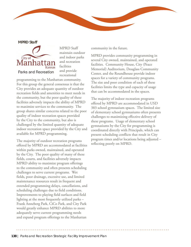#### **MPRD Staff**



MPRD Staff maintain outdoor and indoor parks and recreation facilities and provide recreational

programming to the Manhattan community. For this group the general consensus is that the City provides an adequate quantity of outdoor recreation fields and amenities to meet needs in the community, but the poor quality of these facilities adversely impacts the ability of MPRD to maximize services to the community. The group shares similar concerns related to the poor quality of indoor recreation spaces provided by the City to the community, but also is challenged by the limited quantity of adequate indoor recreation space provided by the City and available for MPRD programming.

The majority of outdoor recreation programs offered by MPRD are accommodated at facilities within parks owned, maintained, and operated by the City. The poor quality of many of these fields, courts, and facilities adversely impacts MPRD ability to maximize program offerings to the community and often presents scheduling challenges to serve current programs. Wet fields, poor drainage, excessive use, and limited maintenance resources result in frequent and extended programming delays, cancellations, and scheduling challenges due to field conditions. Improvements to playing field surfaces and field lighting at the most frequently utilized parks – Frank Anneberg Park, CiCo Park, and City Park would greatly enhance MPRD abilities to more adequately serve current programming needs and expand program offerings to the Manhattan

community in the future.

MPRD provides community programming in several City owned, maintained, and operated facilities. Community House, City (Peace Memorial) Auditorium, Douglass Community Center, and the Roundhouse provide indoor spaces for a variety of community programs. The size and poor condition of each of these facilities limits the type and capacity of usage that can be accommodated in the spaces.

The majority of indoor recreation programs offered by MPRD are accommodated in USD 383 school gymnasium spaces. The limited size of elementary school gymnasiums often presents challenges to maximizing effective delivery of these programs. Usage of elementary school gymnasiums by the City for programming is coordinated directly with Principals, which can present scheduling conflicts that result in City program times and/or locations being adjusted – reflecting poorly on MPRD.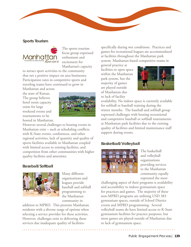#### **Sports Tourism**



The sports tourism focus group expressed enthusiasm and excitement for Manhattan's capacity

to attract sport activities to the community that net a positive impact on area businesses. Participation rates in competitive sports and traveling teams have continued to grow in

Manhattan and across the state of Kansas. The group believes hotel room capacity exists for large weekend events and tournaments to be hosted in Manhattan.



However several challenges to hosting events in Manhattan exist – such as scheduling conflicts with K-State events, conferences, and other regional activities, lack of quantity and quality of sports facilities available in Manhattan coupled with limited access to existing facilities, and competition from other communities with higher quality facilities and amenities.

#### **Baseball/Softball**



Many different organizations and leagues provide baseball and softball programming to the Manhattan community in

addition to MPRD. This presents Manhattan residents with a diverse range of options when selecting a service provider for these activities. However, challenges exist to delivering these services due inadequate quality of facilitiesspecifically during wet conditions. Practices and games for recreational leagues are accommodated at facilities throughout the Manhattan park system. Manhattan-based competitive teams in

general practice at facilities or open space within the Manhattan park system, but the majority of games are played outside of Manhattan due to lack of facility



availability. No indoor space is currently available for softball or baseball training during the winter months. The baseball and softball group expressed challenges with hosting recreational and competitive baseball or softball tournaments at Manhattan park facilities due to the existing quality of facilities and limited maintenance staff support during events.

#### **Basketball/Volleyball**



The basketball and volleyball organizations providing services to the Manhattan community equally expressed the most

challenging aspect of their programs is availability and accessibility to indoor gymnasium space for practices and games. The majority of these non-MPRD programs are utilizing USD 383 gymnasium spaces, outside of School District events and MPRD programming. Several volleyball teams do have limited access to K-State gymnasium facilities for practice purposes, but most games are played outside of Manhattan due to lack of gymnasium space.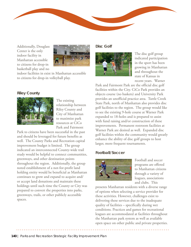

Additionally, Douglass Center is the only indoor facility in Manhattan accessible to citizens for drop-in basketball play and no



indoor facilities in exist in Manhattan accessible to citizens for drop-in volleyball play.

#### **Riley County**



The existing relationship between Riley County and City of Manhattan to maximize park resources at CiCo Park and Fairmont

Park to citizens have been successful in the past and should be leveraged for future benefits as well. The County Parks and Recreation capital improvement budget is limited. The group indicated an interconnected County-wide trail study would be helpful to connect communities, greenways, and other destination points throughout the region. Additionally, the group noted establishment of a not-for-profit land holding entity would be beneficial as Manhattan continues to grow and expand to acquire and/ or accept land donations and maintain these holdings until such time the County or City was prepared to convert the properties into parks, greenways, trails, or other publicly accessible spaces.

**Disc Golf**



The disc golf group indicated participation in the sport has been growing in Manhattan and throughout the state of Kansas in recent years. Warner

Park and Fairmont Park are the official disc golf facilities within the City. CiCo Park provides an objects course (no baskets) and University Park provides an unofficial practice area. Tuttle Creek State Park, north of Manhattan also provides disc golf facilities to the region. The group would like to see the existing 9-hole course at Warner Park expanded to 18-holes and is prepared to assist with fund raising and/or construction of these improvements. Permanent restroom facilities at Warner Park are desired as well. Expanded disc golf facilities within the community would greatly enhance the ability of disc golf groups to host larger, more frequent tournaments.

## **Football/Soccer**



Football and soccer programs are offered to Manhattan citizens through a variety of leagues, associations and clubs. This

presents Manhattan residents with a diverse range of options when selecting a service provider for these activities. However, challenges exist to delivering these services due to the inadequate quality of facilities – specifically during wet conditions. Practices and games for recreational leagues are accommodated at facilities throughout the Manhattan park system as well as available open space on other public and private properties.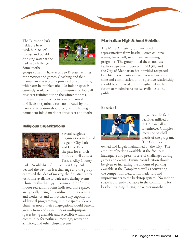The Fairmont Park fields are heavily used, but lack of storage and potable drinking water at the Park is a challenge. Some football



groups currently have access to K-State facilities for practices and games. Coaching and field maintenance is typically provided by volunteers, which can be problematic. No indoor space is currently available in the community for football or soccer training during the winter months. If future improvements to convert natural turf fields to synthetic turf are pursued by the City, consideration should be given to having permanent inlaid markings for soccer and football.

#### **Religious Organizations**



Several religious organizations indicated usage of City Park and CiCo Park in the past for church events as well as Keats Park, a Riley County

Park. Availability of restrooms at City Park beyond the Pavilion is a challenge and the group expressed the idea of making the Aquatic Center restrooms available to Park users during events. Churches that have gymnasium and/or flexible indoor recreation rooms indicated those spaces are typically being fully utilized during evening and weekends and do not have any capacity for additional programming in these spaces. Several churches noted their congregations would benefit greatly from additional indoor multipurpose spaces being available and accessible within the community for potlucks, meetings, recreation activities, and other church events.

#### **Manhattan High School Athletics**

The MHS Athletics group included representatives from baseball, cross country, tennis, basketball, soccer, and swimming programs. The group noted the shared-use facilities agreement between USD 383 and the City of Manhattan has provided reciprocal benefits to each entity as well as residents over time and continuation of this positive relationship should be embraced and strengthened in the future to maximize resources available to the public.

#### *Baseball*



In general the field facilities utilized by MHS baseball at Eisenhower Complex meet the baseball needs of the program. The Complex is

owned and largely maintained by the City. The amount of parking available at the facility is inadequate and presents several challenges during games and events. Future consideration should be given to increasing the amount of parking available at the Complex as well as converting the competition field to synthetic turf and improvements to the backstop system. No indoor space is currently available in the community for baseball training during the winter months.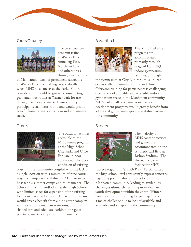

#### *Cross Country*



The cross country program trains at Warner Park, Anneberg Park, Northeast Park and others areas throughout the City

of Manhattan. Lack of permanent restrooms at Warner Park is a challenge – specifically when MHS hosts meets at the Park. Future consideration should be given to constructing permanent restrooms at Warner Park for use during practices and meets. Cross country participants train year-round and would greatly benefit from having access to an indoor running track.

#### *Tennis*



The outdoor facilities accessible to the MHS tennis program at the High School, City Park, and CiCo Park are in poor condition. The poor condition of existing

courts in the community coupled with the lack of a single location with a minimum of nine courts negatively impacts the ability for Manhattan to host tennis summer camps and tournaments. The School District is landlocked at the High School with limited space for expansion of the existing four courts at that location. The tennis program would greatly benefit from a nine court complex with access to permanent restrooms, a central shaded area and adequate parking for regular practices, meets, camps, and tournaments.

#### *Basketball*



The MHS basketball programs are accommodated primarily through usage of USD 383 indoor gymnasium facilities, although

the gymnasium at City Auditorium is utilized occasionally for summer camps and clinics. Offseason training for participants is challenging due to lack of available and accessible indoor gymnasium space in the Manhattan community. MHS basketball programs as well as youth development programs would greatly benefit from additional gymnasium space availability within the community.

#### *Soccer*



The majority of MHS soccer practices and games are accommodated on the synthetic turf field at Bishop Stadium. The alternative back-up facility for MHS

soccer programs is Griffith Park. Participants at the high school level consistently express concerns regarding poor quality of soccer fields in the Manhattan community leading to availability challenges ultimately resulting in inadequate youth development within the sport. Winter conditioning and training for participants is a major challenge due to lack of available and accessible indoor space in the community.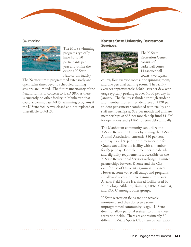#### *Swimming*



The MHS swimming programs typically have 40 to 50 participants per year and utilize the existing K-State Natatorium facility.

The Natatorium is programmed extensively and open swim times beyond scheduled training sessions are limited. The future uncertainty of the Natatorium is of concern to USD 383, as there is currently no other facility in Manhattan that could accommodate MHS swimming programs if the K-State facility was closed and not replaced or unavailable to MHS*.*

#### **Kansas State University Recreation Services**



The K-State Recreation Center consists of 11 basketball courts, 14 racquet ball courts, two squash

courts, four exercise rooms, one spinning room, and one personal training room. The facility averages approximately 3,500 users per day, with usage typically peaking at over 5,000 per day in January. The facility is funded through student and membership fees. Student fees at \$120 per student per semester combined with faculty and staff memberships at \$28 per month and affiliate memberships at \$38 per month help fund \$1.2M for operations and \$1.8M to retire debt annually.

The Manhattan community can utilize the K-State Recreation Center by joining the K-State Alumni Association, currently \$50 per year, and paying a \$56 per month membership fee. Guests can utilize the facility with a member for \$5 per day. Complete membership details and eligibility requirements is accessible on the K-State Recreational Services webpage. Limited partnerships between K-State and the City exist for use of University gymnasium spaces. However, some volleyball camps and programs are allowed access to these gymnasium spaces. Ahearn Field House is a shared facility used by Kinesiology, Athletics, Training, UFM, Cross Fit, and ROTC amongst other groups.

K-State recreation fields are not actively monitored and thus do receive some unprogrammed community usage. K-State does not allow personal trainers to utilize these recreation fields. There are approximately 30 different K-State Sports Clubs run by Recreation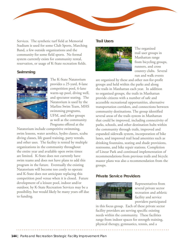

Services. The synthetic turf field at Memorial Stadium is used for some Club Sports, Marching Band, a few outside organizations and the community for some field sports. No formal system currently exists for community rental, reservation, or usage of K-State recreation fields.

#### **Swimming**



The K-State Natatorium provides a 25-yard, 8-lane competition pool, 6-lane warm-up pool, diving well, and spectator seating. The Natatorium is used by the Marlins Swim Team, MHS swimming programs, UFM, and other groups as well as the community. Programs offered at the

Natatorium include competitive swimming, swim lessons, water aerobics, hydro classes, scuba diving classes, life guard training, party rentals, and other uses. The facility is rented by multiple organizations in the community throughout the entire year and available open swim times are limited. K-State does not currently have swim teams and does not have plans to add this program in the future. Eventually the existing Natatorium will become too costly to operate and K-State does not anticipate replacing this competition pool venue when it is closed. Future development of a leisure pool, indoor and/or outdoor, by K-State Recreation Services may be a possibility, but would likely be many years off due to funding.

#### **Trail Users**



The organized trail user groups in Manhattan range from bicycling groups, runners, and cross country clubs. Several run and walk events

are organized by these and other not-for-profit groups and held within the parks and along the trails in Manhattan each year. In addition to organized groups, the trails in Manhattan provide citizens with a number of safe and accessible recreational opportunities, alternative transportation corridors, and connections between community destinations. The group identified several areas of the trails system in Manhattan that could be improved, including connectivity of parks, schools, and other destination hubs within the community through trails, improved and expanded sidewalk system, incorporation of bike lanes, and improved trail head amenities such as drinking fountains, seating and shade provisions, restrooms, and bike repair stations. Completion of Linear Park and continued implementation of recommendations from previous trails and bicycle master plans was also a recommendation from the groups.

## **Private Service Providers**



Representatives from several private sector recreation and athletic facility and service providers participated

in this focus group. Each of these private sector facility providers are serving specific existing needs within the community. These facilities range from indoor spaces for strength training, physical therapy, gymnastics, tennis, and a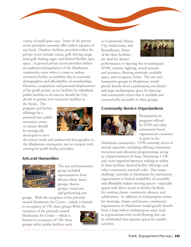variety of small space uses. None of the private sector providers currently offer indoor aquatics of any kind. Outdoor facilities provided within the private sector include tennis, golf, driving range, mini golf, batting cages, and limited flexible open space. In general private sector providers believe an underserved population of the Manhattan community exists when it comes to indoor recreation facility accessibility due to economic demographics and affordability of memberships. However, competition and potential displacement of for-profit private sector facilities by subsidized public facilities is of concern should the City decide to pursue new recreation facilities in

the future. The program and facility offerings for a potential new public recreation center or centers should be strategically developed to serve



the unmet needs and undeserved demographic in the Manhattan community, not to compete with existing for-profit facility providers.

#### **Arts and Humanities**



The arts and humanities group included representatives from diverse ethnic dance groups, theatre groups, visual arts, and performing arts

groups. With the exception of the privately owned Manhattan Art Center – which is limited to occupancy of 150, these groups With the

exception of the privately owned Manhattan Art Center – which is limited to occupancy of 150, these groups utilize public facilities such



as Community House, City Auditorium, and Roundhouse. None of the these facilities are ideal for theatre



performances or dancing due to inadequate HVAC systems, lighting, sound systems and acoustics, flooring materials, available space, and occupancy limits. The arts and humanities groups in Manhattan would greatly benefit from a performing arts theatre and large multipurpose space for dancing and community events that is available and economically accessible to these groups.

# **Community Service Organizations**



Participation in programs offered by UFM and other community-based organizations continues to grow in the

Manhattan community. UFM currently serves in several capacities, including offering community recreation and education programming, acting as a liaison between K-State, Manhattan CVB, and event organizer/sponsors seeking to utilize K-State facilities, limited facility offerings, and other community outreach roles. One major challenge currently in Manhattan for community organizations is limited availability of accessible and affordable indoor meeting spaces – especially spaces with direct access to kitchen facilities for cooking classes, community dinners, and celebrations. In addition to multipurpose rooms for meetings, classes, and lessons, community organizations in Manhattan would greatly benefit from a large indoor multipurpose space such as a gymnasium with wood flooring that can be subdivided into separate spaces for smaller activities.